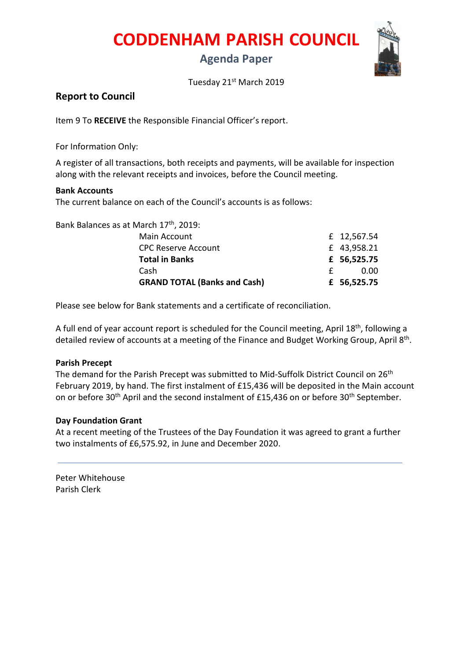**CODDENHAM PARISH COUNCIL**

# **Agenda Paper**



Tuesday 21<sup>st</sup> March 2019

## **Report to Council**

Item 9 To **RECEIVE** the Responsible Financial Officer's report.

For Information Only:

A register of all transactions, both receipts and payments, will be available for inspection along with the relevant receipts and invoices, before the Council meeting.

### **Bank Accounts**

The current balance on each of the Council's accounts is as follows:

Bank Balances as at March 17th, 2019:

| <b>GRAND TOTAL (Banks and Cash)</b> | £ 56,525.75 |
|-------------------------------------|-------------|
| Cash                                | 0.00        |
| <b>Total in Banks</b>               | £ 56,525.75 |
| <b>CPC Reserve Account</b>          | £ 43,958.21 |
| Main Account                        | £ 12,567.54 |
|                                     |             |

Please see below for Bank statements and a certificate of reconciliation.

A full end of year account report is scheduled for the Council meeting, April 18<sup>th</sup>, following a detailed review of accounts at a meeting of the Finance and Budget Working Group, April 8<sup>th</sup>.

### **Parish Precept**

The demand for the Parish Precept was submitted to Mid-Suffolk District Council on 26<sup>th</sup> February 2019, by hand. The first instalment of £15,436 will be deposited in the Main account on or before 30<sup>th</sup> April and the second instalment of £15,436 on or before 30<sup>th</sup> September.

## **Day Foundation Grant**

At a recent meeting of the Trustees of the Day Foundation it was agreed to grant a further two instalments of £6,575.92, in June and December 2020.

Peter Whitehouse Parish Clerk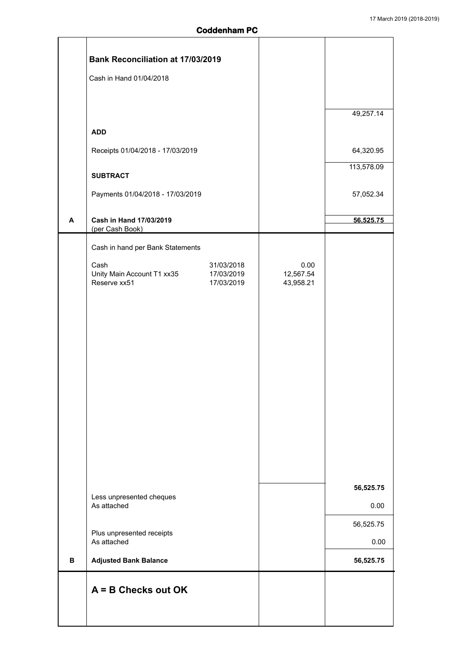5

|   | <b>Bank Reconciliation at 17/03/2019</b>                       |                   |            |
|---|----------------------------------------------------------------|-------------------|------------|
|   | Cash in Hand 01/04/2018                                        |                   |            |
|   |                                                                |                   |            |
|   |                                                                |                   | 49,257.14  |
|   | <b>ADD</b>                                                     |                   |            |
|   | Receipts 01/04/2018 - 17/03/2019                               |                   | 64,320.95  |
|   |                                                                |                   | 113,578.09 |
|   | <b>SUBTRACT</b>                                                |                   |            |
|   | Payments 01/04/2018 - 17/03/2019                               |                   | 57,052.34  |
| A | Cash in Hand 17/03/2019                                        |                   | 56,525.75  |
|   | (per Cash Book)                                                |                   |            |
|   | Cash in hand per Bank Statements                               |                   |            |
|   | 31/03/2018<br>Cash<br>Unity Main Account T1 xx35<br>17/03/2019 | 0.00<br>12,567.54 |            |
|   | Reserve xx51<br>17/03/2019                                     | 43,958.21         |            |
|   |                                                                |                   |            |
|   |                                                                |                   |            |
|   |                                                                |                   |            |
|   |                                                                |                   |            |
|   |                                                                |                   |            |
|   |                                                                |                   |            |
|   |                                                                |                   |            |
|   |                                                                |                   |            |
|   |                                                                |                   |            |
|   |                                                                |                   |            |
|   |                                                                |                   |            |
|   |                                                                |                   | 56,525.75  |
|   | Less unpresented cheques<br>As attached                        |                   | 0.00       |
|   |                                                                |                   | 56,525.75  |
|   | Plus unpresented receipts<br>As attached                       |                   | 0.00       |
| В | <b>Adjusted Bank Balance</b>                                   |                   | 56,525.75  |
|   | $A = B$ Checks out OK                                          |                   |            |
|   |                                                                |                   |            |
|   |                                                                |                   |            |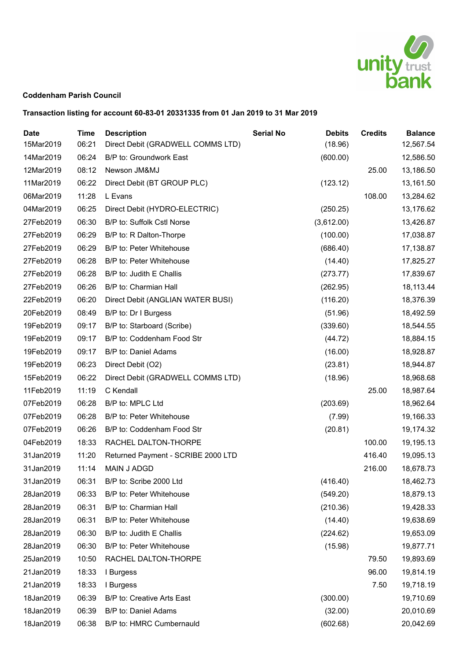

#### **Coddenham Parish Council**

## **Transaction listing for account 60-83-01 20331335 from 01 Jan 2019 to 31 Mar 2019**

| <b>Date</b><br>15Mar2019 | <b>Time</b><br>06:21 | <b>Description</b><br>Direct Debit (GRADWELL COMMS LTD) | <b>Serial No</b> | <b>Debits</b><br>(18.96) | <b>Credits</b> | <b>Balance</b><br>12,567.54 |
|--------------------------|----------------------|---------------------------------------------------------|------------------|--------------------------|----------------|-----------------------------|
| 14Mar2019                | 06:24                | B/P to: Groundwork East                                 |                  | (600.00)                 |                | 12,586.50                   |
| 12Mar2019                | 08:12                | Newson JM&MJ                                            |                  |                          | 25.00          | 13,186.50                   |
| 11Mar2019                | 06:22                | Direct Debit (BT GROUP PLC)                             |                  | (123.12)                 |                | 13,161.50                   |
| 06Mar2019                | 11:28                | L Evans                                                 |                  |                          | 108.00         | 13,284.62                   |
| 04Mar2019                | 06:25                | Direct Debit (HYDRO-ELECTRIC)                           |                  | (250.25)                 |                | 13,176.62                   |
| 27Feb2019                | 06:30                | B/P to: Suffolk Cstl Norse                              |                  | (3,612.00)               |                | 13,426.87                   |
| 27Feb2019                | 06:29                | B/P to: R Dalton-Thorpe                                 |                  | (100.00)                 |                | 17,038.87                   |
| 27Feb2019                | 06:29                |                                                         |                  |                          |                |                             |
|                          | 06:28                | B/P to: Peter Whitehouse                                |                  | (686.40)                 |                | 17,138.87                   |
| 27Feb2019                |                      | B/P to: Peter Whitehouse                                |                  | (14.40)                  |                | 17,825.27                   |
| 27Feb2019                | 06:28                | B/P to: Judith E Challis                                |                  | (273.77)                 |                | 17,839.67                   |
| 27Feb2019                | 06:26                | B/P to: Charmian Hall                                   |                  | (262.95)                 |                | 18,113.44                   |
| 22Feb2019                | 06:20                | Direct Debit (ANGLIAN WATER BUSI)                       |                  | (116.20)                 |                | 18,376.39                   |
| 20Feb2019                | 08:49                | B/P to: Dr I Burgess                                    |                  | (51.96)                  |                | 18,492.59                   |
| 19Feb2019                | 09:17                | B/P to: Starboard (Scribe)                              |                  | (339.60)                 |                | 18,544.55                   |
| 19Feb2019                | 09:17                | B/P to: Coddenham Food Str                              |                  | (44.72)                  |                | 18,884.15                   |
| 19Feb2019                | 09:17                | B/P to: Daniel Adams                                    |                  | (16.00)                  |                | 18,928.87                   |
| 19Feb2019                | 06:23                | Direct Debit (O2)                                       |                  | (23.81)                  |                | 18,944.87                   |
| 15Feb2019                | 06:22                | Direct Debit (GRADWELL COMMS LTD)                       |                  | (18.96)                  |                | 18,968.68                   |
| 11Feb2019                | 11:19                | C Kendall                                               |                  |                          | 25.00          | 18,987.64                   |
| 07Feb2019                | 06:28                | B/P to: MPLC Ltd                                        |                  | (203.69)                 |                | 18,962.64                   |
| 07Feb2019                | 06:28                | B/P to: Peter Whitehouse                                |                  | (7.99)                   |                | 19,166.33                   |
| 07Feb2019                | 06:26                | B/P to: Coddenham Food Str                              |                  | (20.81)                  |                | 19,174.32                   |
| 04Feb2019                | 18:33                | RACHEL DALTON-THORPE                                    |                  |                          | 100.00         | 19,195.13                   |
| 31Jan2019                | 11:20                | Returned Payment - SCRIBE 2000 LTD                      |                  |                          | 416.40         | 19,095.13                   |
| 31Jan2019                | 11:14                | <b>MAIN J ADGD</b>                                      |                  |                          | 216.00         | 18,678.73                   |
| 31Jan2019                | 06:31                | B/P to: Scribe 2000 Ltd                                 |                  | (416.40)                 |                | 18,462.73                   |
| 28Jan2019                | 06:33                | B/P to: Peter Whitehouse                                |                  | (549.20)                 |                | 18,879.13                   |
| 28Jan2019                | 06:31                | B/P to: Charmian Hall                                   |                  | (210.36)                 |                | 19,428.33                   |
| 28Jan2019                | 06:31                | B/P to: Peter Whitehouse                                |                  | (14.40)                  |                | 19,638.69                   |
| 28Jan2019                | 06:30                | B/P to: Judith E Challis                                |                  | (224.62)                 |                | 19,653.09                   |
| 28Jan2019                | 06:30                | B/P to: Peter Whitehouse                                |                  | (15.98)                  |                | 19,877.71                   |
| 25Jan2019                | 10:50                | RACHEL DALTON-THORPE                                    |                  |                          | 79.50          | 19,893.69                   |
| 21Jan2019                | 18:33                | I Burgess                                               |                  |                          | 96.00          | 19,814.19                   |
| 21Jan2019                | 18:33                | I Burgess                                               |                  |                          | 7.50           | 19,718.19                   |
| 18Jan2019                | 06:39                | B/P to: Creative Arts East                              |                  | (300.00)                 |                | 19,710.69                   |
| 18Jan2019                | 06:39                | B/P to: Daniel Adams                                    |                  | (32.00)                  |                | 20,010.69                   |
| 18Jan2019                | 06:38                | B/P to: HMRC Cumbernauld                                |                  | (602.68)                 |                | 20,042.69                   |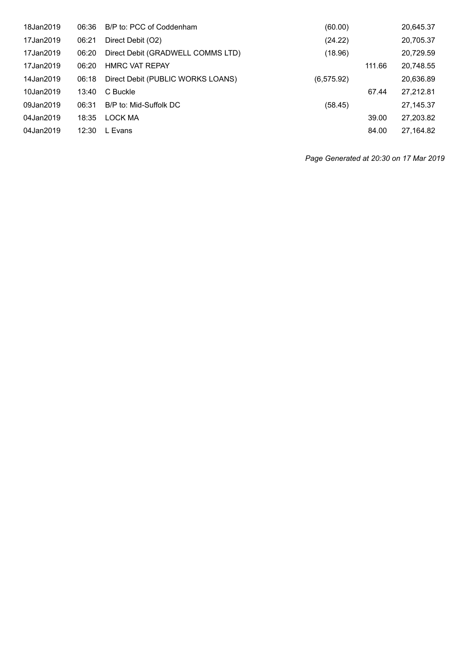| 18Jan2019 | 06:36 | B/P to: PCC of Coddenham          | (60.00)     |        | 20,645.37 |
|-----------|-------|-----------------------------------|-------------|--------|-----------|
| 17Jan2019 | 06:21 | Direct Debit (O2)                 | (24.22)     |        | 20,705.37 |
| 17Jan2019 | 06:20 | Direct Debit (GRADWELL COMMS LTD) | (18.96)     |        | 20,729.59 |
| 17Jan2019 | 06:20 | <b>HMRC VAT REPAY</b>             |             | 111.66 | 20,748.55 |
| 14Jan2019 | 06:18 | Direct Debit (PUBLIC WORKS LOANS) | (6, 575.92) |        | 20,636.89 |
| 10Jan2019 | 13:40 | C Buckle                          |             | 67.44  | 27,212.81 |
| 09Jan2019 | 06:31 | B/P to: Mid-Suffolk DC            | (58.45)     |        | 27,145.37 |
| 04Jan2019 | 18:35 | LOCK MA                           |             | 39.00  | 27,203.82 |
| 04Jan2019 | 12:30 | L Evans                           |             | 84.00  | 27,164.82 |
|           |       |                                   |             |        |           |

*Page Generated at 20:30 on 17 Mar 2019*